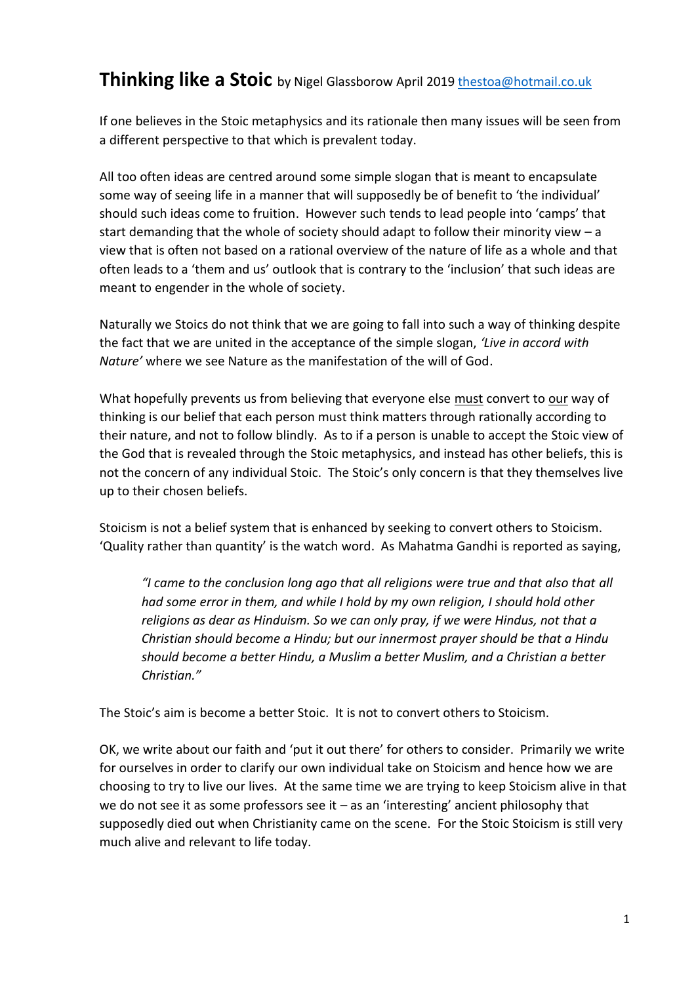## **Thinking like a Stoic** by Nigel Glassborow April 201[9 thestoa@hotmail.co.uk](mailto:thestoa@hotmail.co.uk)

If one believes in the Stoic metaphysics and its rationale then many issues will be seen from a different perspective to that which is prevalent today.

All too often ideas are centred around some simple slogan that is meant to encapsulate some way of seeing life in a manner that will supposedly be of benefit to 'the individual' should such ideas come to fruition. However such tends to lead people into 'camps' that start demanding that the whole of society should adapt to follow their minority view  $-a$ view that is often not based on a rational overview of the nature of life as a whole and that often leads to a 'them and us' outlook that is contrary to the 'inclusion' that such ideas are meant to engender in the whole of society.

Naturally we Stoics do not think that we are going to fall into such a way of thinking despite the fact that we are united in the acceptance of the simple slogan, *'Live in accord with Nature'* where we see Nature as the manifestation of the will of God.

What hopefully prevents us from believing that everyone else must convert to our way of thinking is our belief that each person must think matters through rationally according to their nature, and not to follow blindly. As to if a person is unable to accept the Stoic view of the God that is revealed through the Stoic metaphysics, and instead has other beliefs, this is not the concern of any individual Stoic. The Stoic's only concern is that they themselves live up to their chosen beliefs.

Stoicism is not a belief system that is enhanced by seeking to convert others to Stoicism. 'Quality rather than quantity' is the watch word. As Mahatma Gandhi is reported as saying,

*"I came to the conclusion long ago that all religions were true and that also that all had some error in them, and while I hold by my own religion, I should hold other religions as dear as Hinduism. So we can only pray, if we were Hindus, not that a Christian should become a Hindu; but our innermost prayer should be that a Hindu should become a better Hindu, a Muslim a better Muslim, and a Christian a better Christian."* 

The Stoic's aim is become a better Stoic. It is not to convert others to Stoicism.

OK, we write about our faith and 'put it out there' for others to consider. Primarily we write for ourselves in order to clarify our own individual take on Stoicism and hence how we are choosing to try to live our lives. At the same time we are trying to keep Stoicism alive in that we do not see it as some professors see it – as an 'interesting' ancient philosophy that supposedly died out when Christianity came on the scene. For the Stoic Stoicism is still very much alive and relevant to life today.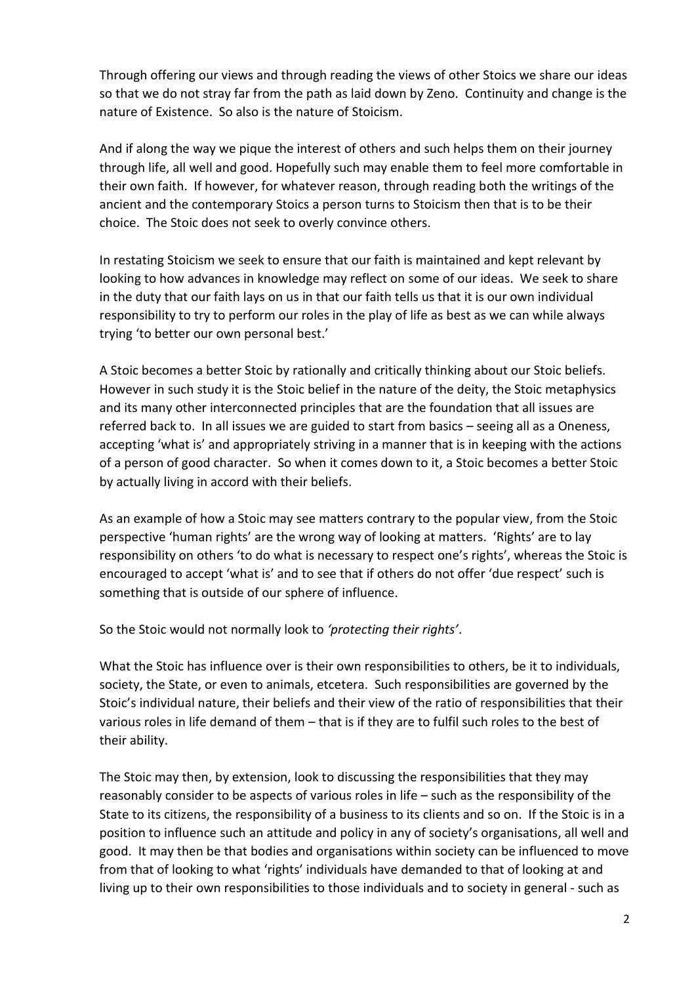Through offering our views and through reading the views of other Stoics we share our ideas so that we do not stray far from the path as laid down by Zeno. Continuity and change is the nature of Existence. So also is the nature of Stoicism.

And if along the way we pique the interest of others and such helps them on their journey through life, all well and good. Hopefully such may enable them to feel more comfortable in their own faith. If however, for whatever reason, through reading both the writings of the ancient and the contemporary Stoics a person turns to Stoicism then that is to be their choice. The Stoic does not seek to overly convince others.

In restating Stoicism we seek to ensure that our faith is maintained and kept relevant by looking to how advances in knowledge may reflect on some of our ideas. We seek to share in the duty that our faith lays on us in that our faith tells us that it is our own individual responsibility to try to perform our roles in the play of life as best as we can while always trying 'to better our own personal best.'

A Stoic becomes a better Stoic by rationally and critically thinking about our Stoic beliefs. However in such study it is the Stoic belief in the nature of the deity, the Stoic metaphysics and its many other interconnected principles that are the foundation that all issues are referred back to. In all issues we are guided to start from basics – seeing all as a Oneness, accepting 'what is' and appropriately striving in a manner that is in keeping with the actions of a person of good character. So when it comes down to it, a Stoic becomes a better Stoic by actually living in accord with their beliefs.

As an example of how a Stoic may see matters contrary to the popular view, from the Stoic perspective 'human rights' are the wrong way of looking at matters. 'Rights' are to lay responsibility on others 'to do what is necessary to respect one's rights', whereas the Stoic is encouraged to accept 'what is' and to see that if others do not offer 'due respect' such is something that is outside of our sphere of influence.

So the Stoic would not normally look to *'protecting their rights'*.

What the Stoic has influence over is their own responsibilities to others, be it to individuals, society, the State, or even to animals, etcetera. Such responsibilities are governed by the Stoic's individual nature, their beliefs and their view of the ratio of responsibilities that their various roles in life demand of them – that is if they are to fulfil such roles to the best of their ability.

The Stoic may then, by extension, look to discussing the responsibilities that they may reasonably consider to be aspects of various roles in life – such as the responsibility of the State to its citizens, the responsibility of a business to its clients and so on. If the Stoic is in a position to influence such an attitude and policy in any of society's organisations, all well and good. It may then be that bodies and organisations within society can be influenced to move from that of looking to what 'rights' individuals have demanded to that of looking at and living up to their own responsibilities to those individuals and to society in general - such as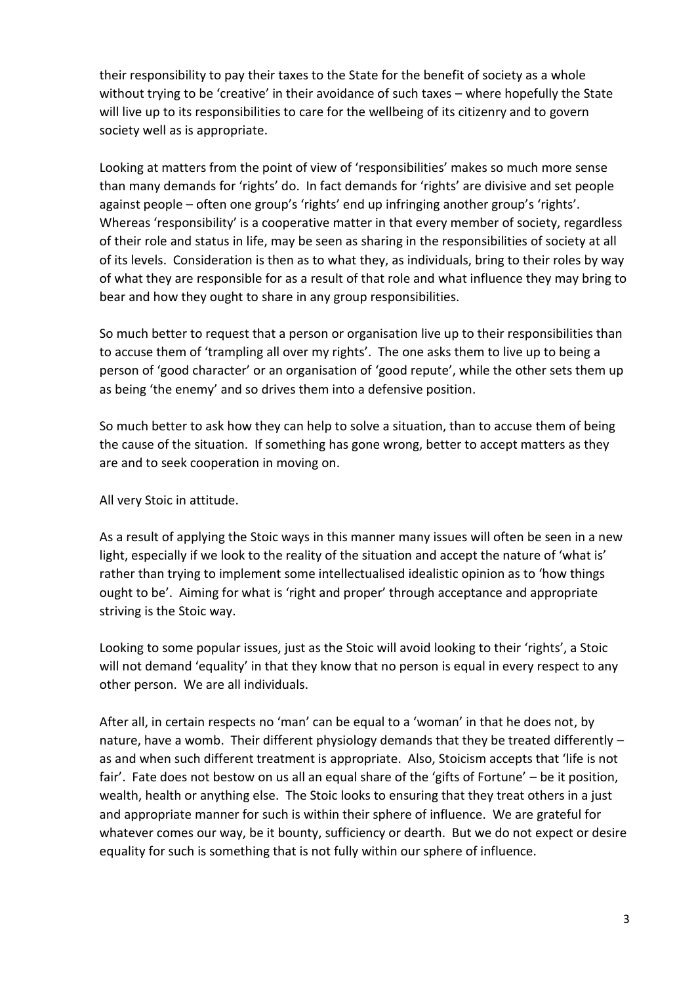their responsibility to pay their taxes to the State for the benefit of society as a whole without trying to be 'creative' in their avoidance of such taxes – where hopefully the State will live up to its responsibilities to care for the wellbeing of its citizenry and to govern society well as is appropriate.

Looking at matters from the point of view of 'responsibilities' makes so much more sense than many demands for 'rights' do. In fact demands for 'rights' are divisive and set people against people – often one group's 'rights' end up infringing another group's 'rights'. Whereas 'responsibility' is a cooperative matter in that every member of society, regardless of their role and status in life, may be seen as sharing in the responsibilities of society at all of its levels. Consideration is then as to what they, as individuals, bring to their roles by way of what they are responsible for as a result of that role and what influence they may bring to bear and how they ought to share in any group responsibilities.

So much better to request that a person or organisation live up to their responsibilities than to accuse them of 'trampling all over my rights'. The one asks them to live up to being a person of 'good character' or an organisation of 'good repute', while the other sets them up as being 'the enemy' and so drives them into a defensive position.

So much better to ask how they can help to solve a situation, than to accuse them of being the cause of the situation. If something has gone wrong, better to accept matters as they are and to seek cooperation in moving on.

All very Stoic in attitude.

As a result of applying the Stoic ways in this manner many issues will often be seen in a new light, especially if we look to the reality of the situation and accept the nature of 'what is' rather than trying to implement some intellectualised idealistic opinion as to 'how things ought to be'. Aiming for what is 'right and proper' through acceptance and appropriate striving is the Stoic way.

Looking to some popular issues, just as the Stoic will avoid looking to their 'rights', a Stoic will not demand 'equality' in that they know that no person is equal in every respect to any other person. We are all individuals.

After all, in certain respects no 'man' can be equal to a 'woman' in that he does not, by nature, have a womb. Their different physiology demands that they be treated differently – as and when such different treatment is appropriate. Also, Stoicism accepts that 'life is not fair'. Fate does not bestow on us all an equal share of the 'gifts of Fortune' – be it position, wealth, health or anything else. The Stoic looks to ensuring that they treat others in a just and appropriate manner for such is within their sphere of influence. We are grateful for whatever comes our way, be it bounty, sufficiency or dearth. But we do not expect or desire equality for such is something that is not fully within our sphere of influence.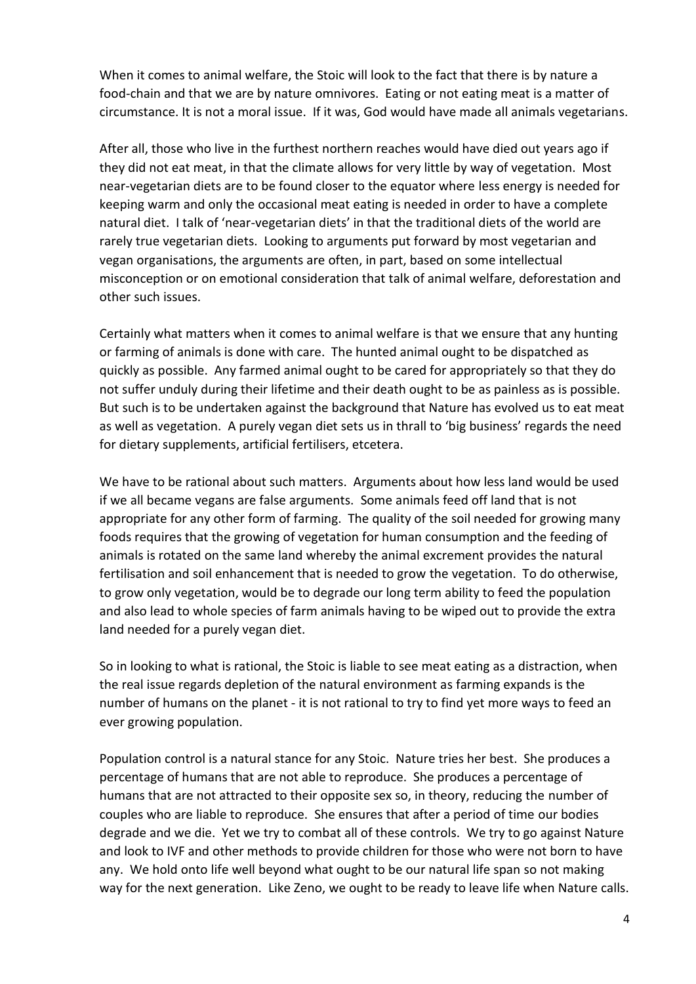When it comes to animal welfare, the Stoic will look to the fact that there is by nature a food-chain and that we are by nature omnivores. Eating or not eating meat is a matter of circumstance. It is not a moral issue. If it was, God would have made all animals vegetarians.

After all, those who live in the furthest northern reaches would have died out years ago if they did not eat meat, in that the climate allows for very little by way of vegetation. Most near-vegetarian diets are to be found closer to the equator where less energy is needed for keeping warm and only the occasional meat eating is needed in order to have a complete natural diet. I talk of 'near-vegetarian diets' in that the traditional diets of the world are rarely true vegetarian diets. Looking to arguments put forward by most vegetarian and vegan organisations, the arguments are often, in part, based on some intellectual misconception or on emotional consideration that talk of animal welfare, deforestation and other such issues.

Certainly what matters when it comes to animal welfare is that we ensure that any hunting or farming of animals is done with care. The hunted animal ought to be dispatched as quickly as possible. Any farmed animal ought to be cared for appropriately so that they do not suffer unduly during their lifetime and their death ought to be as painless as is possible. But such is to be undertaken against the background that Nature has evolved us to eat meat as well as vegetation. A purely vegan diet sets us in thrall to 'big business' regards the need for dietary supplements, artificial fertilisers, etcetera.

We have to be rational about such matters. Arguments about how less land would be used if we all became vegans are false arguments. Some animals feed off land that is not appropriate for any other form of farming. The quality of the soil needed for growing many foods requires that the growing of vegetation for human consumption and the feeding of animals is rotated on the same land whereby the animal excrement provides the natural fertilisation and soil enhancement that is needed to grow the vegetation. To do otherwise, to grow only vegetation, would be to degrade our long term ability to feed the population and also lead to whole species of farm animals having to be wiped out to provide the extra land needed for a purely vegan diet.

So in looking to what is rational, the Stoic is liable to see meat eating as a distraction, when the real issue regards depletion of the natural environment as farming expands is the number of humans on the planet - it is not rational to try to find yet more ways to feed an ever growing population.

Population control is a natural stance for any Stoic. Nature tries her best. She produces a percentage of humans that are not able to reproduce. She produces a percentage of humans that are not attracted to their opposite sex so, in theory, reducing the number of couples who are liable to reproduce. She ensures that after a period of time our bodies degrade and we die. Yet we try to combat all of these controls. We try to go against Nature and look to IVF and other methods to provide children for those who were not born to have any. We hold onto life well beyond what ought to be our natural life span so not making way for the next generation. Like Zeno, we ought to be ready to leave life when Nature calls.